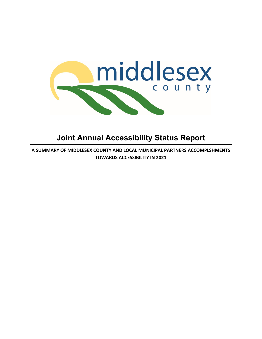

# **Joint Annual Accessibility Status Report**

**A SUMMARY OF MIDDLESEX COUNTY AND LOCAL MUNICIPAL PARTNERS ACCOMPLSHMENTS TOWARDS ACCESSIBILITY IN 2021**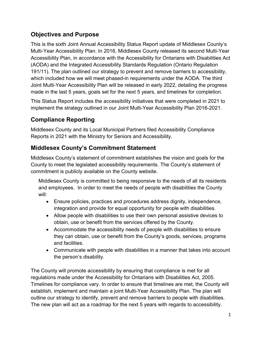## **Objectives and Purpose**

This is the sixth Joint Annual Accessibility Status Report update of Middlesex County's Multi-Year Accessibility Plan. In 2016, Middlesex County released its second Multi-Year Accessibility Plan, in accordance with the Accessibility for Ontarians with Disabilities Act (AODA) and the Integrated Accessibility Standards Regulation (Ontario Regulation 191/11). The plan outlined our strategy to prevent and remove barriers to accessibility, which included how we will meet phased-in requirements under the AODA. The third Joint Multi-Year Accessibility Plan will be released in early 2022, detailing the progress made in the last 5 years, goals set for the next 5 years, and timelines for completion.

This Status Report includes the accessibility initiatives that were completed in 2021 to implement the strategy outlined in our Joint Multi-Year Accessibility Plan 2016-2021.

# **Compliance Reporting**

Middlesex County and its Local Municipal Partners filed Accessibility Compliance Reports in 2021 with the Ministry for Seniors and Accessibility.

## **Middlesex County's Commitment Statement**

Middlesex County's statement of commitment establishes the vision and goals for the County to meet the legislated accessibility requirements. The County's statement of commitment is publicly available on the County website.

Middlesex County is committed to being responsive to the needs of all its residents and employees. In order to meet the needs of people with disabilities the County will:

- Ensure policies, practices and procedures address dignity, independence, integration and provide for equal opportunity for people with disabilities.
- Allow people with disabilities to use their own personal assistive devices to obtain, use or benefit from the services offered by the County.
- Accommodate the accessibility needs of people with disabilities to ensure they can obtain, use or benefit from the County's goods, services, programs and facilities.
- Communicate with people with disabilities in a manner that takes into account the person's disability.

The County will promote accessibility by ensuring that compliance is met for all regulations made under the Accessibility for Ontarians with Disabilities Act, 2005. Timelines for compliance vary. In order to ensure that timelines are met, the County will establish, implement and maintain a joint Multi-Year Accessibility Plan. The plan will outline our strategy to identify, prevent and remove barriers to people with disabilities. The new plan will act as a roadmap for the next 5 years with regards to accessibility.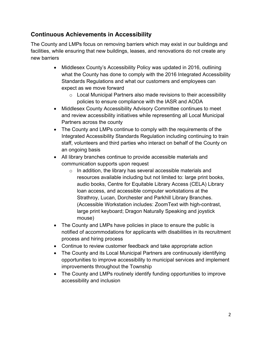#### **Continuous Achievements in Accessibility**

The County and LMPs focus on removing barriers which may exist in our buildings and facilities, while ensuring that new buildings, leases, and renovations do not create any new barriers

- Middlesex County's Accessibility Policy was updated in 2016, outlining what the County has done to comply with the 2016 Integrated Accessibility Standards Regulations and what our customers and employees can expect as we move forward
	- $\circ$  Local Municipal Partners also made revisions to their accessibility policies to ensure compliance with the IASR and AODA
- Middlesex County Accessibility Advisory Committee continues to meet and review accessibility initiatives while representing all Local Municipal Partners across the county
- The County and LMPs continue to comply with the requirements of the Integrated Accessibility Standards Regulation including continuing to train staff, volunteers and third parties who interact on behalf of the County on an ongoing basis
- All library branches continue to provide accessible materials and communication supports upon request
	- o In addition, the library has several accessible materials and resources available including but not limited to: large print books, audio books, Centre for Equitable Library Access (CELA) Library loan access, and accessible computer workstations at the Strathroy, Lucan, Dorchester and Parkhill Library Branches. (Accessible Workstation includes: ZoomText with high-contrast, large print keyboard; Dragon Naturally Speaking and joystick mouse)
- The County and LMPs have policies in place to ensure the public is notified of accommodations for applicants with disabilities in its recruitment process and hiring process
- Continue to review customer feedback and take appropriate action
- The County and its Local Municipal Partners are continuously identifying opportunities to improve accessibility to municipal services and implement improvements throughout the Township
- The County and LMPs routinely identify funding opportunities to improve accessibility and inclusion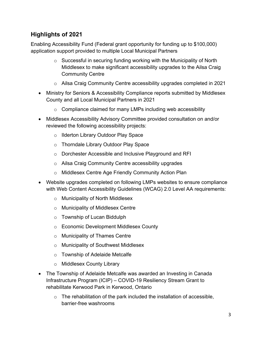#### **Highlights of 2021**

Enabling Accessibility Fund (Federal grant opportunity for funding up to \$100,000) application support provided to multiple Local Municipal Partners

- $\circ$  Successful in securing funding working with the Municipality of North Middlesex to make significant accessibility upgrades to the Ailsa Craig Community Centre
- $\circ$  Ailsa Craig Community Centre accessibility upgrades completed in 2021
- Ministry for Seniors & Accessibility Compliance reports submitted by Middlesex County and all Local Municipal Partners in 2021
	- $\circ$  Compliance claimed for many LMPs including web accessibility
- Middlesex Accessibility Advisory Committee provided consultation on and/or reviewed the following accessibility projects:
	- o Ilderton Library Outdoor Play Space
	- o Thorndale Library Outdoor Play Space
	- o Dorchester Accessible and Inclusive Playground and RFI
	- o Ailsa Craig Community Centre accessibility upgrades
	- o Middlesex Centre Age Friendly Community Action Plan
- Website upgrades completed on following LMPs websites to ensure compliance with Web Content Accessibility Guidelines (WCAG) 2.0 Level AA requirements:
	- o Municipality of North Middlesex
	- o Municipality of Middlesex Centre
	- o Township of Lucan Biddulph
	- o Economic Development Middlesex County
	- o Municipality of Thames Centre
	- o Municipality of Southwest Middlesex
	- o Township of Adelaide Metcalfe
	- o Middlesex County Library
- The Township of Adelaide Metcalfe was awarded an Investing in Canada Infrastructure Program (ICIP) – COVID-19 Resiliency Stream Grant to rehabilitate Kerwood Park in Kerwood, Ontario
	- $\circ$  The rehabilitation of the park included the installation of accessible, barrier-free washrooms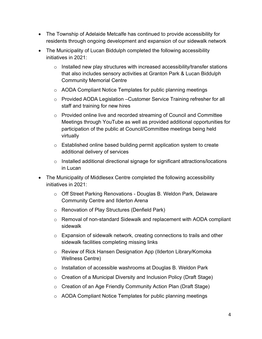- The Township of Adelaide Metcalfe has continued to provide accessibility for residents through ongoing development and expansion of our sidewalk network
- The Municipality of Lucan Biddulph completed the following accessibility initiatives in 2021:
	- $\circ$  Installed new play structures with increased accessibility/transfer stations that also includes sensory activities at Granton Park & Lucan Biddulph Community Memorial Centre
	- o AODA Compliant Notice Templates for public planning meetings
	- o Provided AODA Legislation –Customer Service Training refresher for all staff and training for new hires
	- o Provided online live and recorded streaming of Council and Committee Meetings through YouTube as well as provided additional opportunities for participation of the public at Council/Committee meetings being held virtually
	- o Established online based building permit application system to create additional delivery of services
	- o Installed additional directional signage for significant attractions/locations in Lucan
- The Municipality of Middlesex Centre completed the following accessibility initiatives in 2021:
	- o Off Street Parking Renovations Douglas B. Weldon Park, Delaware Community Centre and Ilderton Arena
	- o Renovation of Play Structures (Denfield Park)
	- o Removal of non-standard Sidewalk and replacement with AODA compliant sidewalk
	- o Expansion of sidewalk network, creating connections to trails and other sidewalk facilities completing missing links
	- o Review of Rick Hansen Designation App (Ilderton Library/Komoka Wellness Centre)
	- o Installation of accessible washrooms at Douglas B. Weldon Park
	- o Creation of a Municipal Diversity and Inclusion Policy (Draft Stage)
	- o Creation of an Age Friendly Community Action Plan (Draft Stage)
	- o AODA Compliant Notice Templates for public planning meetings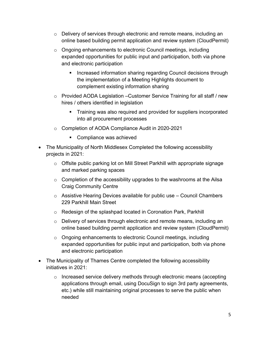- $\circ$  Delivery of services through electronic and remote means, including an online based building permit application and review system (CloudPermit)
- o Ongoing enhancements to electronic Council meetings, including expanded opportunities for public input and participation, both via phone and electronic participation
	- **Increased information sharing regarding Council decisions through** the implementation of a Meeting Highlights document to complement existing information sharing
- o Provided AODA Legislation –Customer Service Training for all staff / new hires / others identified in legislation
	- Training was also required and provided for suppliers incorporated into all procurement processes
- o Completion of AODA Compliance Audit in 2020-2021
	- **Compliance was achieved**
- The Municipality of North Middlesex Completed the following accessibility projects in 2021:
	- o Offsite public parking lot on Mill Street Parkhill with appropriate signage and marked parking spaces
	- $\circ$  Completion of the accessibility upgrades to the washrooms at the Ailsa Craig Community Centre
	- $\circ$  Assistive Hearing Devices available for public use Council Chambers 229 Parkhill Main Street
	- o Redesign of the splashpad located in Coronation Park, Parkhill
	- $\circ$  Delivery of services through electronic and remote means, including an online based building permit application and review system (CloudPermit)
	- o Ongoing enhancements to electronic Council meetings, including expanded opportunities for public input and participation, both via phone and electronic participation
- The Municipality of Thames Centre completed the following accessibility initiatives in 2021:
	- o Increased service delivery methods through electronic means (accepting applications through email, using DocuSign to sign 3rd party agreements, etc.) while still maintaining original processes to serve the public when needed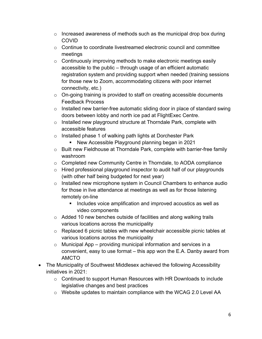- $\circ$  Increased awareness of methods such as the municipal drop box during COVID
- $\circ$  Continue to coordinate livestreamed electronic council and committee meetings
- o Continuously improving methods to make electronic meetings easily accessible to the public – through usage of an efficient automatic registration system and providing support when needed (training sessions for those new to Zoom, accommodating citizens with poor internet connectivity, etc.)
- $\circ$  On-going training is provided to staff on creating accessible documents Feedback Process
- $\circ$  Installed new barrier-free automatic sliding door in place of standard swing doors between lobby and north ice pad at FlightExec Centre.
- o Installed new playground structure at Thorndale Park, complete with accessible features
- o Installed phase 1 of walking path lights at Dorchester Park
	- New Accessible Playground planning began in 2021
- o Built new Fieldhouse at Thorndale Park, complete with barrier-free family washroom
- o Completed new Community Centre in Thorndale, to AODA compliance
- o Hired professional playground inspector to audit half of our playgrounds (with other half being budgeted for next year)
- o Installed new microphone system in Council Chambers to enhance audio for those in live attendance at meetings as well as for those listening remotely on-line
	- **Includes voice amplification and improved acoustics as well as** video components
- $\circ$  Added 10 new benches outside of facilities and along walking trails various locations across the municipality
- o Replaced 6 picnic tables with new wheelchair accessible picnic tables at various locations across the municipality
- $\circ$  Municipal App providing municipal information and services in a convenient, easy to use format – this app won the E.A. Danby award from AMCTO
- The Municipality of Southwest Middlesex achieved the following Accessibility initiatives in 2021:
	- $\circ$  Continued to support Human Resources with HR Downloads to include legislative changes and best practices
	- o Website updates to maintain compliance with the WCAG 2.0 Level AA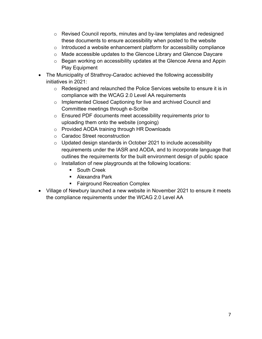- $\circ$  Revised Council reports, minutes and by-law templates and redesigned these documents to ensure accessibility when posted to the website
- $\circ$  Introduced a website enhancement platform for accessibility compliance
- o Made accessible updates to the Glencoe Library and Glencoe Daycare
- o Began working on accessibility updates at the Glencoe Arena and Appin Play Equipment
- The Municipality of Strathroy-Caradoc achieved the following accessibility initiatives in 2021:
	- o Redesigned and relaunched the Police Services website to ensure it is in compliance with the WCAG 2.0 Level AA requirements
	- o Implemented Closed Captioning for live and archived Council and Committee meetings through e-Scribe
	- o Ensured PDF documents meet accessibility requirements prior to uploading them onto the website (ongoing)
	- o Provided AODA training through HR Downloads
	- o Caradoc Street reconstruction
	- $\circ$  Updated design standards in October 2021 to include accessibility requirements under the IASR and AODA, and to incorporate language that outlines the requirements for the built environment design of public space
	- $\circ$  Installation of new playgrounds at the following locations:
		- **South Creek**
		- Alexandra Park
		- **Fairground Recreation Complex**
- Village of Newbury launched a new website in November 2021 to ensure it meets the compliance requirements under the WCAG 2.0 Level AA